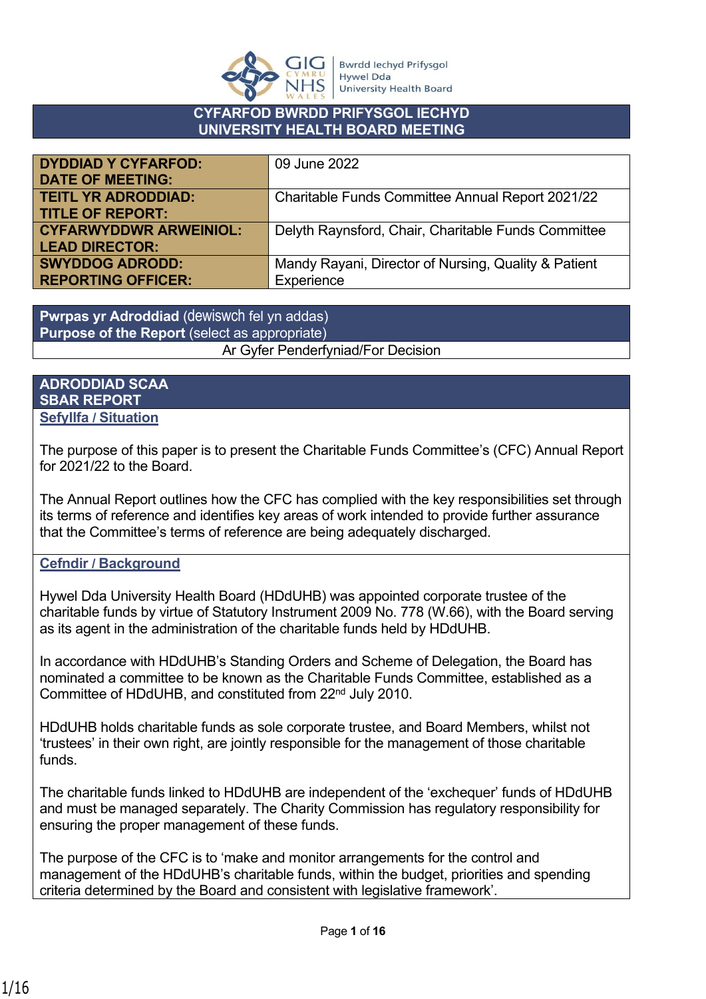

## **CYFARFOD BWRDD PRIFYSGOL IECHYD UNIVERSITY HEALTH BOARD MEETING**

| <b>DYDDIAD Y CYFARFOD:</b>    | 09 June 2022                                         |
|-------------------------------|------------------------------------------------------|
| <b>DATE OF MEETING:</b>       |                                                      |
| <b>TEITL YR ADRODDIAD:</b>    | Charitable Funds Committee Annual Report 2021/22     |
| <b>TITLE OF REPORT:</b>       |                                                      |
| <b>CYFARWYDDWR ARWEINIOL:</b> | Delyth Raynsford, Chair, Charitable Funds Committee  |
| <b>LEAD DIRECTOR:</b>         |                                                      |
| <b>SWYDDOG ADRODD:</b>        | Mandy Rayani, Director of Nursing, Quality & Patient |
| <b>REPORTING OFFICER:</b>     | Experience                                           |

**Pwrpas yr Adroddiad** (dewiswch fel yn addas) **Purpose of the Report** (select as appropriate) Ar Gyfer Penderfyniad/For Decision

#### **ADRODDIAD SCAA SBAR REPORT Sefyllfa / Situation**

The purpose of this paper is to present the Charitable Funds Committee's (CFC) Annual Report for 2021/22 to the Board.

The Annual Report outlines how the CFC has complied with the key responsibilities set through its terms of reference and identifies key areas of work intended to provide further assurance that the Committee's terms of reference are being adequately discharged.

# **Cefndir / Background**

Hywel Dda University Health Board (HDdUHB) was appointed corporate trustee of the charitable funds by virtue of Statutory Instrument 2009 No. 778 (W.66), with the Board serving as its agent in the administration of the charitable funds held by HDdUHB.

In accordance with HDdUHB's Standing Orders and Scheme of Delegation, the Board has nominated a committee to be known as the Charitable Funds Committee, established as a Committee of HDdUHB, and constituted from 22nd July 2010.

HDdUHB holds charitable funds as sole corporate trustee, and Board Members, whilst not 'trustees' in their own right, are jointly responsible for the management of those charitable funds.

The charitable funds linked to HDdUHB are independent of the 'exchequer' funds of HDdUHB and must be managed separately. The Charity Commission has regulatory responsibility for ensuring the proper management of these funds.

The purpose of the CFC is to 'make and monitor arrangements for the control and management of the HDdUHB's charitable funds, within the budget, priorities and spending criteria determined by the Board and consistent with legislative framework'.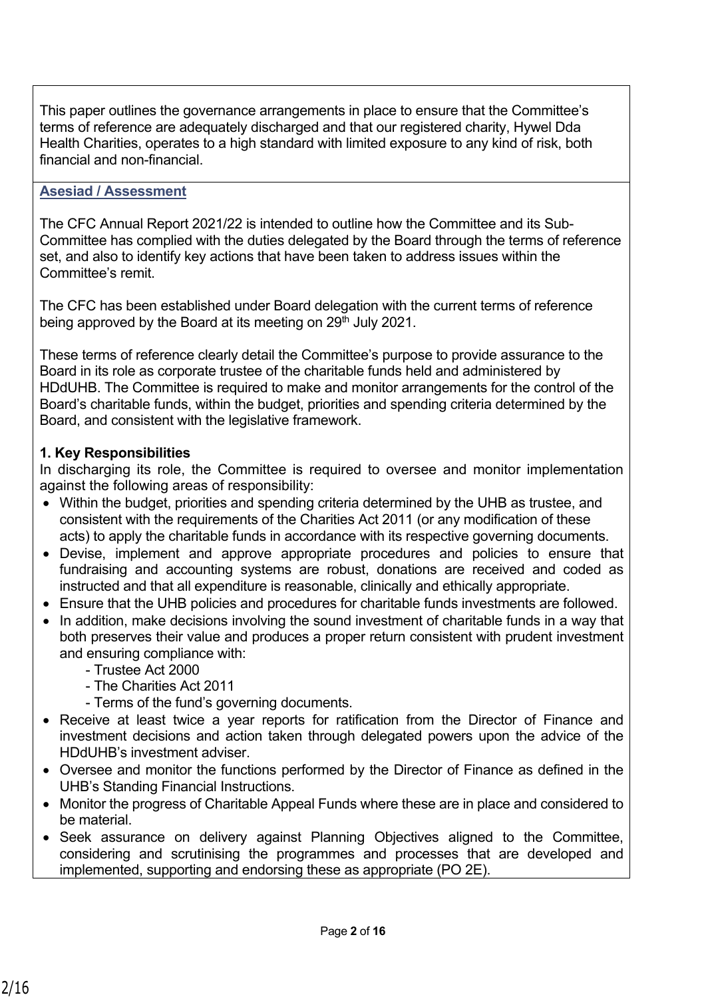This paper outlines the governance arrangements in place to ensure that the Committee's terms of reference are adequately discharged and that our registered charity, Hywel Dda Health Charities, operates to a high standard with limited exposure to any kind of risk, both financial and non-financial.

#### **Asesiad / Assessment**

The CFC Annual Report 2021/22 is intended to outline how the Committee and its Sub-Committee has complied with the duties delegated by the Board through the terms of reference set, and also to identify key actions that have been taken to address issues within the Committee's remit.

The CFC has been established under Board delegation with the current terms of reference being approved by the Board at its meeting on  $29<sup>th</sup>$  July 2021.

These terms of reference clearly detail the Committee's purpose to provide assurance to the Board in its role as corporate trustee of the charitable funds held and administered by HDdUHB. The Committee is required to make and monitor arrangements for the control of the Board's charitable funds, within the budget, priorities and spending criteria determined by the Board, and consistent with the legislative framework.

#### **1. Key Responsibilities**

In discharging its role, the Committee is required to oversee and monitor implementation against the following areas of responsibility:

- Within the budget, priorities and spending criteria determined by the UHB as trustee, and consistent with the requirements of the Charities Act 2011 (or any modification of these acts) to apply the charitable funds in accordance with its respective governing documents.
- Devise, implement and approve appropriate procedures and policies to ensure that fundraising and accounting systems are robust, donations are received and coded as instructed and that all expenditure is reasonable, clinically and ethically appropriate.
- Ensure that the UHB policies and procedures for charitable funds investments are followed.
- In addition, make decisions involving the sound investment of charitable funds in a way that both preserves their value and produces a proper return consistent with prudent investment and ensuring compliance with:
	- Trustee Act 2000
	- The Charities Act 2011
	- Terms of the fund's governing documents.
- Receive at least twice a year reports for ratification from the Director of Finance and investment decisions and action taken through delegated powers upon the advice of the HDdUHB's investment adviser.
- Oversee and monitor the functions performed by the Director of Finance as defined in the UHB's Standing Financial Instructions.
- Monitor the progress of Charitable Appeal Funds where these are in place and considered to be material.
- Seek assurance on delivery against Planning Objectives aligned to the Committee, considering and scrutinising the programmes and processes that are developed and implemented, supporting and endorsing these as appropriate (PO 2E).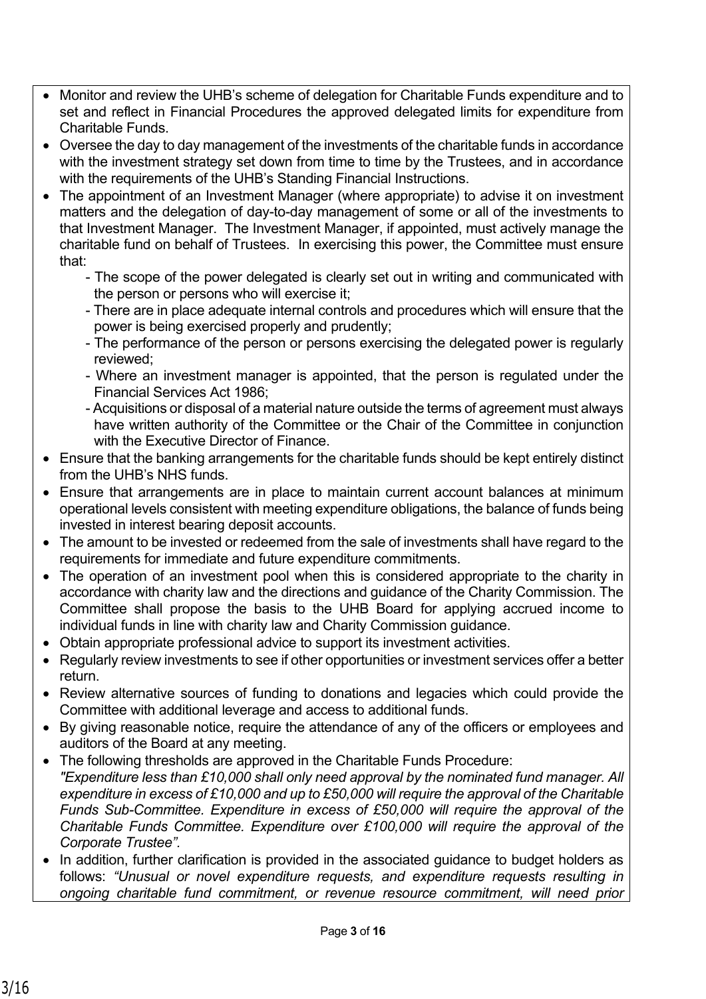- Monitor and review the UHB's scheme of delegation for Charitable Funds expenditure and to set and reflect in Financial Procedures the approved delegated limits for expenditure from Charitable Funds.
- Oversee the day to day management of the investments of the charitable funds in accordance with the investment strategy set down from time to time by the Trustees, and in accordance with the requirements of the UHB's Standing Financial Instructions.
- The appointment of an Investment Manager (where appropriate) to advise it on investment matters and the delegation of day-to-day management of some or all of the investments to that Investment Manager. The Investment Manager, if appointed, must actively manage the charitable fund on behalf of Trustees. In exercising this power, the Committee must ensure that:
	- The scope of the power delegated is clearly set out in writing and communicated with the person or persons who will exercise it;
	- There are in place adequate internal controls and procedures which will ensure that the power is being exercised properly and prudently;
	- The performance of the person or persons exercising the delegated power is regularly reviewed;
	- Where an investment manager is appointed, that the person is regulated under the Financial Services Act 1986;
	- Acquisitions or disposal of a material nature outside the terms of agreement must always have written authority of the Committee or the Chair of the Committee in conjunction with the Executive Director of Finance.
- Ensure that the banking arrangements for the charitable funds should be kept entirely distinct from the UHB's NHS funds.
- Ensure that arrangements are in place to maintain current account balances at minimum operational levels consistent with meeting expenditure obligations, the balance of funds being invested in interest bearing deposit accounts.
- The amount to be invested or redeemed from the sale of investments shall have regard to the requirements for immediate and future expenditure commitments.
- The operation of an investment pool when this is considered appropriate to the charity in accordance with charity law and the directions and guidance of the Charity Commission. The Committee shall propose the basis to the UHB Board for applying accrued income to individual funds in line with charity law and Charity Commission guidance.
- Obtain appropriate professional advice to support its investment activities.
- Regularly review investments to see if other opportunities or investment services offer a better return.
- Review alternative sources of funding to donations and legacies which could provide the Committee with additional leverage and access to additional funds.
- By giving reasonable notice, require the attendance of any of the officers or employees and auditors of the Board at any meeting.
- The following thresholds are approved in the Charitable Funds Procedure: *"Expenditure less than £10,000 shall only need approval by the nominated fund manager. All expenditure in excess of £10,000 and up to £50,000 will require the approval of the Charitable Funds Sub-Committee. Expenditure in excess of £50,000 will require the approval of the Charitable Funds Committee. Expenditure over £100,000 will require the approval of the Corporate Trustee".*
- In addition, further clarification is provided in the associated guidance to budget holders as follows: *"Unusual or novel expenditure requests, and expenditure requests resulting in ongoing charitable fund commitment, or revenue resource commitment, will need prior*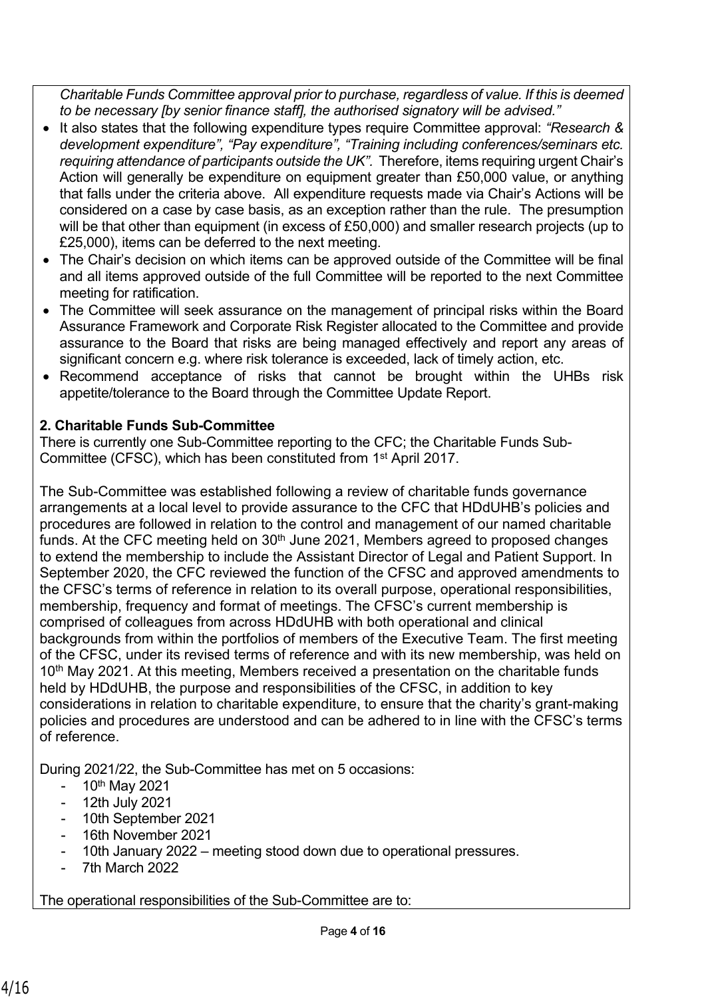*Charitable Funds Committee approval prior to purchase, regardless of value. If this is deemed to be necessary [by senior finance staff], the authorised signatory will be advised."*

- It also states that the following expenditure types require Committee approval: *"Research & development expenditure", "Pay expenditure", "Training including conferences/seminars etc. requiring attendance of participants outside the UK".* Therefore, items requiring urgent Chair's Action will generally be expenditure on equipment greater than £50,000 value, or anything that falls under the criteria above. All expenditure requests made via Chair's Actions will be considered on a case by case basis, as an exception rather than the rule. The presumption will be that other than equipment (in excess of £50,000) and smaller research projects (up to £25,000), items can be deferred to the next meeting.
- The Chair's decision on which items can be approved outside of the Committee will be final and all items approved outside of the full Committee will be reported to the next Committee meeting for ratification.
- The Committee will seek assurance on the management of principal risks within the Board Assurance Framework and Corporate Risk Register allocated to the Committee and provide assurance to the Board that risks are being managed effectively and report any areas of significant concern e.g. where risk tolerance is exceeded, lack of timely action, etc.
- Recommend acceptance of risks that cannot be brought within the UHBs risk appetite/tolerance to the Board through the Committee Update Report.

# **2. Charitable Funds Sub-Committee**

There is currently one Sub-Committee reporting to the CFC; the Charitable Funds Sub-Committee (CFSC), which has been constituted from 1st April 2017.

The Sub-Committee was established following a review of charitable funds governance arrangements at a local level to provide assurance to the CFC that HDdUHB's policies and procedures are followed in relation to the control and management of our named charitable funds. At the CFC meeting held on  $30<sup>th</sup>$  June 2021, Members agreed to proposed changes to extend the membership to include the Assistant Director of Legal and Patient Support. In September 2020, the CFC reviewed the function of the CFSC and approved amendments to the CFSC's terms of reference in relation to its overall purpose, operational responsibilities, membership, frequency and format of meetings. The CFSC's current membership is comprised of colleagues from across HDdUHB with both operational and clinical backgrounds from within the portfolios of members of the Executive Team. The first meeting of the CFSC, under its revised terms of reference and with its new membership, was held on 10<sup>th</sup> May 2021. At this meeting, Members received a presentation on the charitable funds held by HDdUHB, the purpose and responsibilities of the CFSC, in addition to key considerations in relation to charitable expenditure, to ensure that the charity's grant-making policies and procedures are understood and can be adhered to in line with the CFSC's terms of reference.

During 2021/22, the Sub-Committee has met on 5 occasions:

- 10<sup>th</sup> May 2021
- 12th July 2021
- 10th September 2021
- 16th November 2021
- 10th January 2022 meeting stood down due to operational pressures.
- 7th March 2022

The operational responsibilities of the Sub-Committee are to: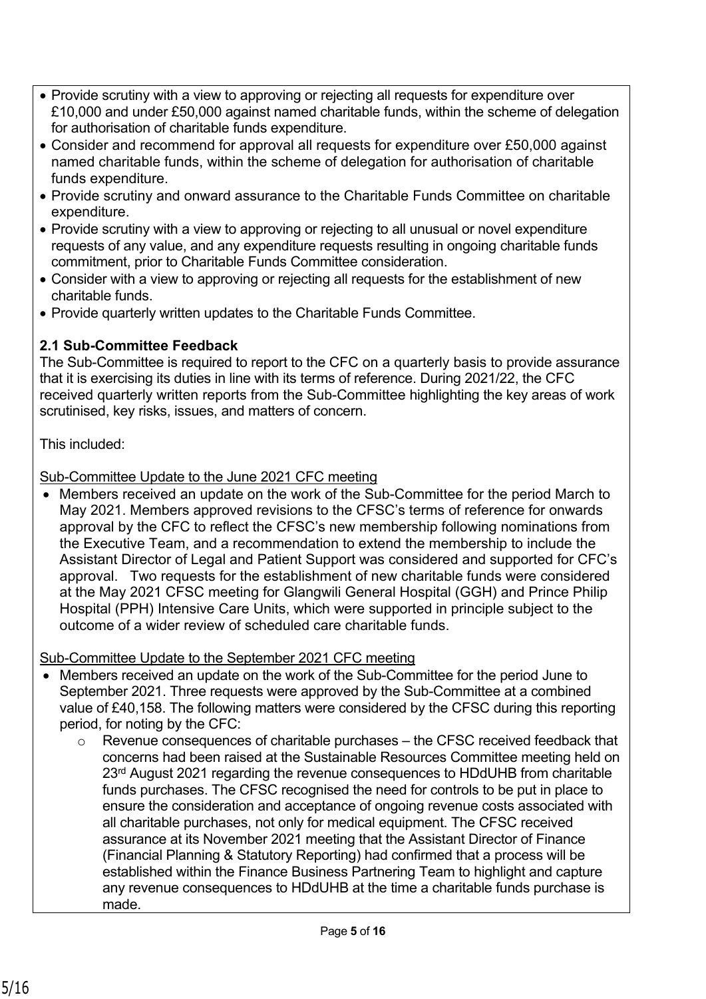- Provide scrutiny with a view to approving or rejecting all requests for expenditure over £10,000 and under £50,000 against named charitable funds, within the scheme of delegation for authorisation of charitable funds expenditure.
- Consider and recommend for approval all requests for expenditure over £50,000 against named charitable funds, within the scheme of delegation for authorisation of charitable funds expenditure.
- Provide scrutiny and onward assurance to the Charitable Funds Committee on charitable expenditure.
- Provide scrutiny with a view to approving or rejecting to all unusual or novel expenditure requests of any value, and any expenditure requests resulting in ongoing charitable funds commitment, prior to Charitable Funds Committee consideration.
- Consider with a view to approving or rejecting all requests for the establishment of new charitable funds.
- Provide quarterly written updates to the Charitable Funds Committee.

# **2.1 Sub-Committee Feedback**

The Sub-Committee is required to report to the CFC on a quarterly basis to provide assurance that it is exercising its duties in line with its terms of reference. During 2021/22, the CFC received quarterly written reports from the Sub-Committee highlighting the key areas of work scrutinised, key risks, issues, and matters of concern.

This included:

Sub-Committee Update to the June 2021 CFC meeting

• Members received an update on the work of the Sub-Committee for the period March to May 2021. Members approved revisions to the CFSC's terms of reference for onwards approval by the CFC to reflect the CFSC's new membership following nominations from the Executive Team, and a recommendation to extend the membership to include the Assistant Director of Legal and Patient Support was considered and supported for CFC's approval. Two requests for the establishment of new charitable funds were considered at the May 2021 CFSC meeting for Glangwili General Hospital (GGH) and Prince Philip Hospital (PPH) Intensive Care Units, which were supported in principle subject to the outcome of a wider review of scheduled care charitable funds.

Sub-Committee Update to the September 2021 CFC meeting

- Members received an update on the work of the Sub-Committee for the period June to September 2021. Three requests were approved by the Sub-Committee at a combined value of £40,158. The following matters were considered by the CFSC during this reporting period, for noting by the CFC:
	- $\circ$  Revenue consequences of charitable purchases the CFSC received feedback that concerns had been raised at the Sustainable Resources Committee meeting held on 23<sup>rd</sup> August 2021 regarding the revenue consequences to HDdUHB from charitable funds purchases. The CFSC recognised the need for controls to be put in place to ensure the consideration and acceptance of ongoing revenue costs associated with all charitable purchases, not only for medical equipment. The CFSC received assurance at its November 2021 meeting that the Assistant Director of Finance (Financial Planning & Statutory Reporting) had confirmed that a process will be established within the Finance Business Partnering Team to highlight and capture any revenue consequences to HDdUHB at the time a charitable funds purchase is made.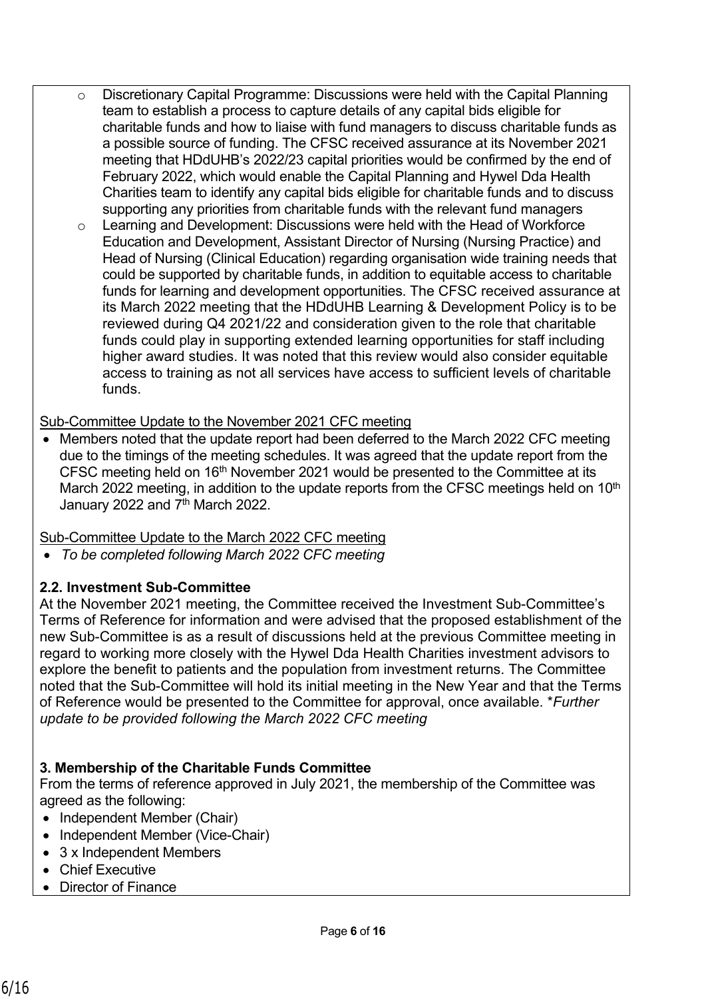- o Discretionary Capital Programme: Discussions were held with the Capital Planning team to establish a process to capture details of any capital bids eligible for charitable funds and how to liaise with fund managers to discuss charitable funds as a possible source of funding. The CFSC received assurance at its November 2021 meeting that HDdUHB's 2022/23 capital priorities would be confirmed by the end of February 2022, which would enable the Capital Planning and Hywel Dda Health Charities team to identify any capital bids eligible for charitable funds and to discuss supporting any priorities from charitable funds with the relevant fund managers
	- o Learning and Development: Discussions were held with the Head of Workforce Education and Development, Assistant Director of Nursing (Nursing Practice) and Head of Nursing (Clinical Education) regarding organisation wide training needs that could be supported by charitable funds, in addition to equitable access to charitable funds for learning and development opportunities. The CFSC received assurance at its March 2022 meeting that the HDdUHB Learning & Development Policy is to be reviewed during Q4 2021/22 and consideration given to the role that charitable funds could play in supporting extended learning opportunities for staff including higher award studies. It was noted that this review would also consider equitable access to training as not all services have access to sufficient levels of charitable funds.

# Sub-Committee Update to the November 2021 CFC meeting

• Members noted that the update report had been deferred to the March 2022 CFC meeting due to the timings of the meeting schedules. It was agreed that the update report from the CFSC meeting held on 16<sup>th</sup> November 2021 would be presented to the Committee at its March 2022 meeting, in addition to the update reports from the CFSC meetings held on  $10<sup>th</sup>$ January 2022 and 7<sup>th</sup> March 2022.

# Sub-Committee Update to the March 2022 CFC meeting

• *To be completed following March 2022 CFC meeting*

# **2.2. Investment Sub-Committee**

At the November 2021 meeting, the Committee received the Investment Sub-Committee's Terms of Reference for information and were advised that the proposed establishment of the new Sub-Committee is as a result of discussions held at the previous Committee meeting in regard to working more closely with the Hywel Dda Health Charities investment advisors to explore the benefit to patients and the population from investment returns. The Committee noted that the Sub-Committee will hold its initial meeting in the New Year and that the Terms of Reference would be presented to the Committee for approval, once available. \**Further update to be provided following the March 2022 CFC meeting*

# **3. Membership of the Charitable Funds Committee**

From the terms of reference approved in July 2021, the membership of the Committee was agreed as the following:

- Independent Member (Chair)
- Independent Member (Vice-Chair)
- 3 x Independent Members
- Chief Executive
- Director of Finance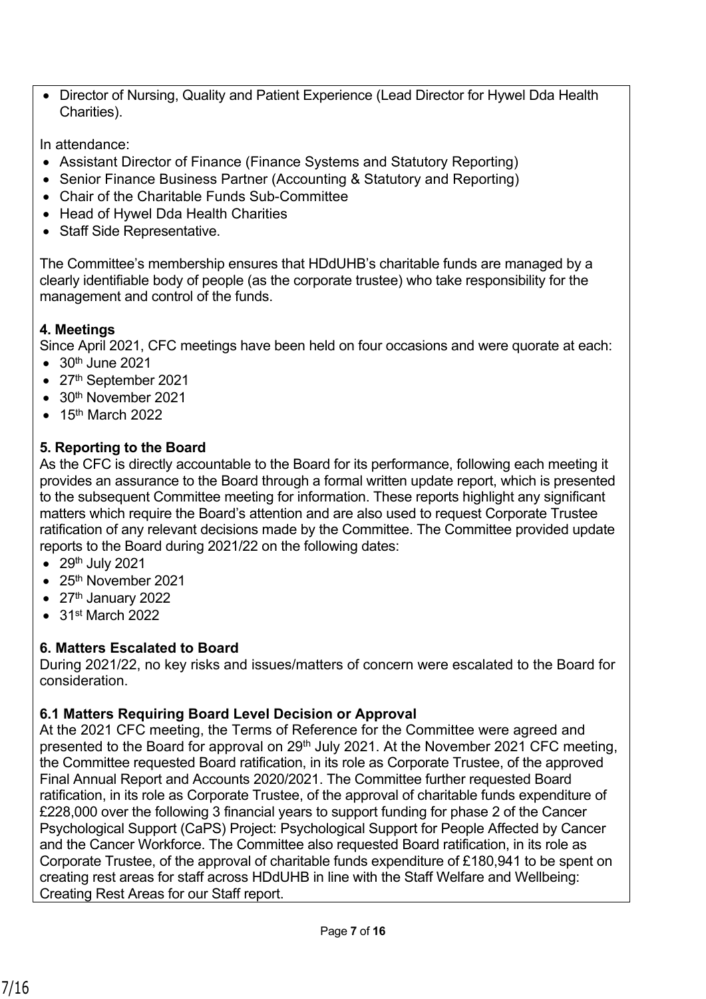• Director of Nursing, Quality and Patient Experience (Lead Director for Hywel Dda Health Charities).

In attendance:

- Assistant Director of Finance (Finance Systems and Statutory Reporting)
- Senior Finance Business Partner (Accounting & Statutory and Reporting)
- Chair of the Charitable Funds Sub-Committee
- Head of Hywel Dda Health Charities
- Staff Side Representative.

The Committee's membership ensures that HDdUHB's charitable funds are managed by a clearly identifiable body of people (as the corporate trustee) who take responsibility for the management and control of the funds.

# **4. Meetings**

Since April 2021, CFC meetings have been held on four occasions and were quorate at each:

- $\bullet$  30<sup>th</sup> June 2021
- 27<sup>th</sup> September 2021
- $\bullet$  30<sup>th</sup> November 2021
- $\bullet$  15<sup>th</sup> March 2022

# **5. Reporting to the Board**

As the CFC is directly accountable to the Board for its performance, following each meeting it provides an assurance to the Board through a formal written update report, which is presented to the subsequent Committee meeting for information. These reports highlight any significant matters which require the Board's attention and are also used to request Corporate Trustee ratification of any relevant decisions made by the Committee. The Committee provided update reports to the Board during 2021/22 on the following dates:

- $\bullet$  29<sup>th</sup> July 2021
- $\bullet$  25<sup>th</sup> November 2021
- $\bullet$  27<sup>th</sup> January 2022
- 31st March 2022

# **6. Matters Escalated to Board**

During 2021/22, no key risks and issues/matters of concern were escalated to the Board for consideration.

# **6.1 Matters Requiring Board Level Decision or Approval**

At the 2021 CFC meeting, the Terms of Reference for the Committee were agreed and presented to the Board for approval on 29<sup>th</sup> July 2021. At the November 2021 CFC meeting, the Committee requested Board ratification, in its role as Corporate Trustee, of the approved Final Annual Report and Accounts 2020/2021. The Committee further requested Board ratification, in its role as Corporate Trustee, of the approval of charitable funds expenditure of £228,000 over the following 3 financial years to support funding for phase 2 of the Cancer Psychological Support (CaPS) Project: Psychological Support for People Affected by Cancer and the Cancer Workforce. The Committee also requested Board ratification, in its role as Corporate Trustee, of the approval of charitable funds expenditure of £180,941 to be spent on creating rest areas for staff across HDdUHB in line with the Staff Welfare and Wellbeing: Creating Rest Areas for our Staff report.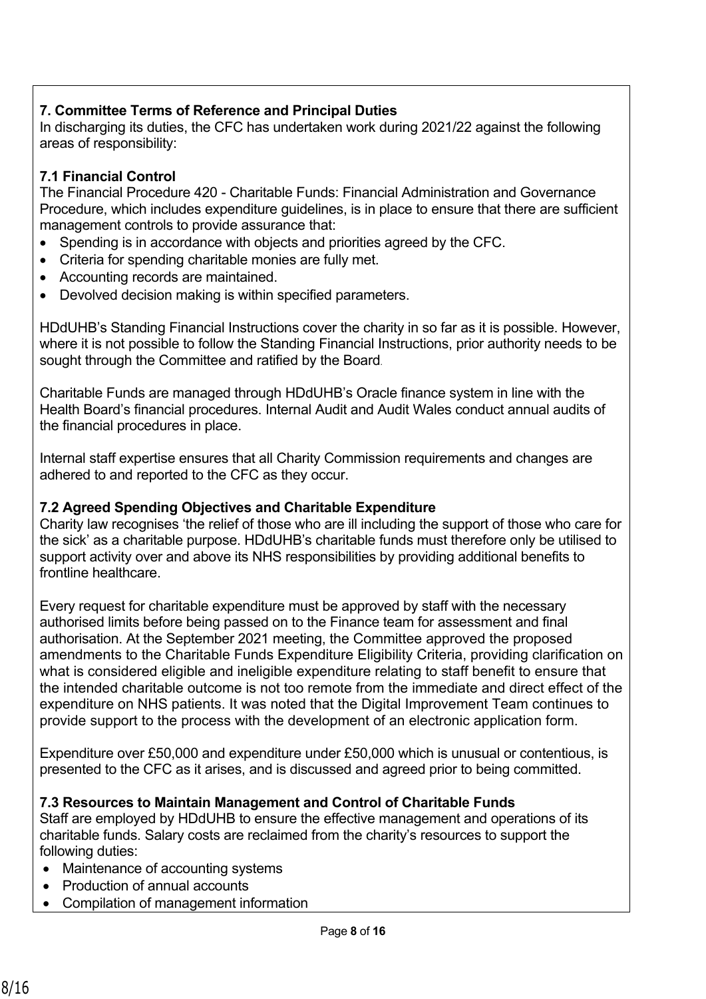# **7. Committee Terms of Reference and Principal Duties**

In discharging its duties, the CFC has undertaken work during 2021/22 against the following areas of responsibility:

# **7.1 Financial Control**

The Financial Procedure 420 - Charitable Funds: Financial Administration and Governance Procedure, which includes expenditure guidelines, is in place to ensure that there are sufficient management controls to provide assurance that:

- Spending is in accordance with objects and priorities agreed by the CFC.
- Criteria for spending charitable monies are fully met.
- Accounting records are maintained.
- Devolved decision making is within specified parameters.

HDdUHB's Standing Financial Instructions cover the charity in so far as it is possible. However, where it is not possible to follow the Standing Financial Instructions, prior authority needs to be sought through the Committee and ratified by the Board.

Charitable Funds are managed through HDdUHB's Oracle finance system in line with the Health Board's financial procedures. Internal Audit and Audit Wales conduct annual audits of the financial procedures in place.

Internal staff expertise ensures that all Charity Commission requirements and changes are adhered to and reported to the CFC as they occur.

## **7.2 Agreed Spending Objectives and Charitable Expenditure**

Charity law recognises 'the relief of those who are ill including the support of those who care for the sick' as a charitable purpose. HDdUHB's charitable funds must therefore only be utilised to support activity over and above its NHS responsibilities by providing additional benefits to frontline healthcare.

Every request for charitable expenditure must be approved by staff with the necessary authorised limits before being passed on to the Finance team for assessment and final authorisation. At the September 2021 meeting, the Committee approved the proposed amendments to the Charitable Funds Expenditure Eligibility Criteria, providing clarification on what is considered eligible and ineligible expenditure relating to staff benefit to ensure that the intended charitable outcome is not too remote from the immediate and direct effect of the expenditure on NHS patients. It was noted that the Digital Improvement Team continues to provide support to the process with the development of an electronic application form.

Expenditure over £50,000 and expenditure under £50,000 which is unusual or contentious, is presented to the CFC as it arises, and is discussed and agreed prior to being committed.

**7.3 Resources to Maintain Management and Control of Charitable Funds** Staff are employed by HDdUHB to ensure the effective management and operations of its charitable funds. Salary costs are reclaimed from the charity's resources to support the following duties:

- Maintenance of accounting systems
- Production of annual accounts
- Compilation of management information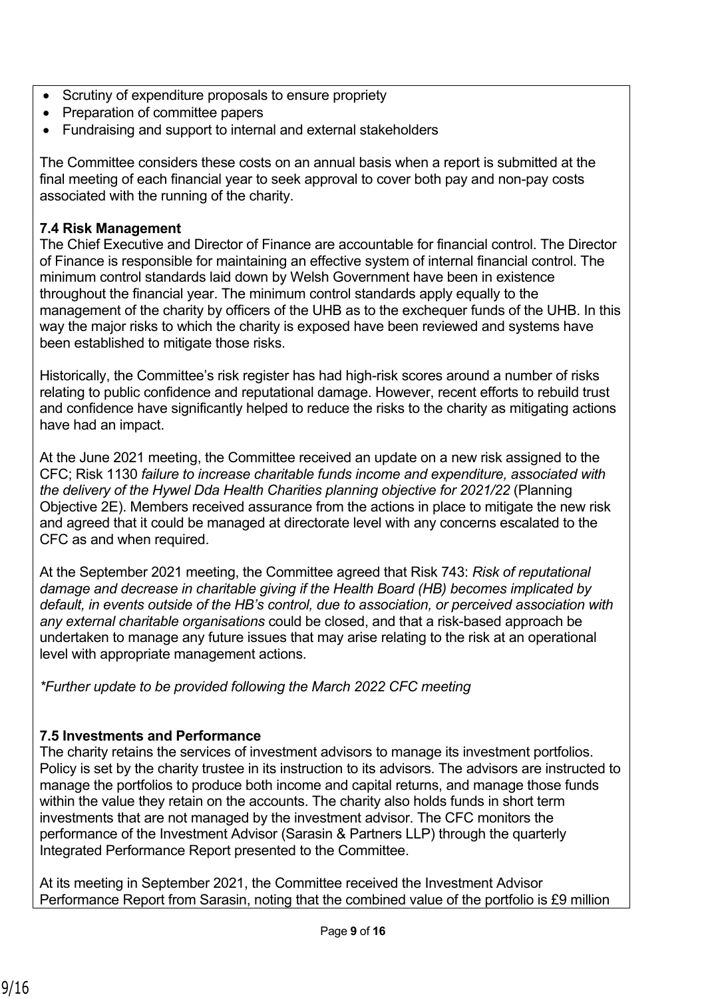- Scrutiny of expenditure proposals to ensure propriety
- Preparation of committee papers
- Fundraising and support to internal and external stakeholders

The Committee considers these costs on an annual basis when a report is submitted at the final meeting of each financial year to seek approval to cover both pay and non-pay costs associated with the running of the charity.

## **7.4 Risk Management**

The Chief Executive and Director of Finance are accountable for financial control. The Director of Finance is responsible for maintaining an effective system of internal financial control. The minimum control standards laid down by Welsh Government have been in existence throughout the financial year. The minimum control standards apply equally to the management of the charity by officers of the UHB as to the exchequer funds of the UHB. In this way the major risks to which the charity is exposed have been reviewed and systems have been established to mitigate those risks.

Historically, the Committee's risk register has had high-risk scores around a number of risks relating to public confidence and reputational damage. However, recent efforts to rebuild trust and confidence have significantly helped to reduce the risks to the charity as mitigating actions have had an impact.

At the June 2021 meeting, the Committee received an update on a new risk assigned to the CFC; Risk 1130 *failure to increase charitable funds income and expenditure, associated with the delivery of the Hywel Dda Health Charities planning objective for 2021/22* (Planning Objective 2E). Members received assurance from the actions in place to mitigate the new risk and agreed that it could be managed at directorate level with any concerns escalated to the CFC as and when required.

At the September 2021 meeting, the Committee agreed that Risk 743: *Risk of reputational damage and decrease in charitable giving if the Health Board (HB) becomes implicated by default, in events outside of the HB's control, due to association, or perceived association with any external charitable organisations* could be closed, and that a risk-based approach be undertaken to manage any future issues that may arise relating to the risk at an operational level with appropriate management actions.

*\*Further update to be provided following the March 2022 CFC meeting*

#### **7.5 Investments and Performance**

The charity retains the services of investment advisors to manage its investment portfolios. Policy is set by the charity trustee in its instruction to its advisors. The advisors are instructed to manage the portfolios to produce both income and capital returns, and manage those funds within the value they retain on the accounts. The charity also holds funds in short term investments that are not managed by the investment advisor. The CFC monitors the performance of the Investment Advisor (Sarasin & Partners LLP) through the quarterly Integrated Performance Report presented to the Committee.

At its meeting in September 2021, the Committee received the Investment Advisor Performance Report from Sarasin, noting that the combined value of the portfolio is £9 million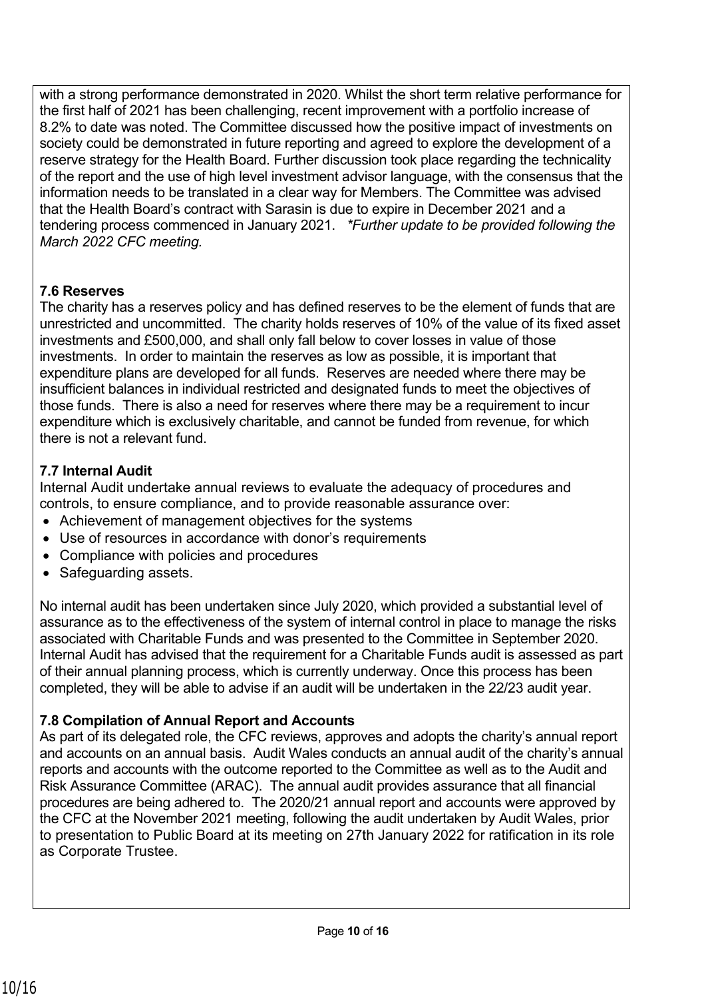with a strong performance demonstrated in 2020. Whilst the short term relative performance for the first half of 2021 has been challenging, recent improvement with a portfolio increase of 8.2% to date was noted. The Committee discussed how the positive impact of investments on society could be demonstrated in future reporting and agreed to explore the development of a reserve strategy for the Health Board. Further discussion took place regarding the technicality of the report and the use of high level investment advisor language, with the consensus that the information needs to be translated in a clear way for Members. The Committee was advised that the Health Board's contract with Sarasin is due to expire in December 2021 and a tendering process commenced in January 2021. *\*Further update to be provided following the March 2022 CFC meeting.*

# **7.6 Reserves**

The charity has a reserves policy and has defined reserves to be the element of funds that are unrestricted and uncommitted. The charity holds reserves of 10% of the value of its fixed asset investments and £500,000, and shall only fall below to cover losses in value of those investments. In order to maintain the reserves as low as possible, it is important that expenditure plans are developed for all funds. Reserves are needed where there may be insufficient balances in individual restricted and designated funds to meet the objectives of those funds. There is also a need for reserves where there may be a requirement to incur expenditure which is exclusively charitable, and cannot be funded from revenue, for which there is not a relevant fund.

# **7.7 Internal Audit**

Internal Audit undertake annual reviews to evaluate the adequacy of procedures and controls, to ensure compliance, and to provide reasonable assurance over:

- Achievement of management objectives for the systems
- Use of resources in accordance with donor's requirements
- Compliance with policies and procedures
- Safeguarding assets.

No internal audit has been undertaken since July 2020, which provided a substantial level of assurance as to the effectiveness of the system of internal control in place to manage the risks associated with Charitable Funds and was presented to the Committee in September 2020. Internal Audit has advised that the requirement for a Charitable Funds audit is assessed as part of their annual planning process, which is currently underway. Once this process has been completed, they will be able to advise if an audit will be undertaken in the 22/23 audit year.

# **7.8 Compilation of Annual Report and Accounts**

As part of its delegated role, the CFC reviews, approves and adopts the charity's annual report and accounts on an annual basis. Audit Wales conducts an annual audit of the charity's annual reports and accounts with the outcome reported to the Committee as well as to the Audit and Risk Assurance Committee (ARAC). The annual audit provides assurance that all financial procedures are being adhered to. The 2020/21 annual report and accounts were approved by the CFC at the November 2021 meeting, following the audit undertaken by Audit Wales, prior to presentation to Public Board at its meeting on 27th January 2022 for ratification in its role as Corporate Trustee.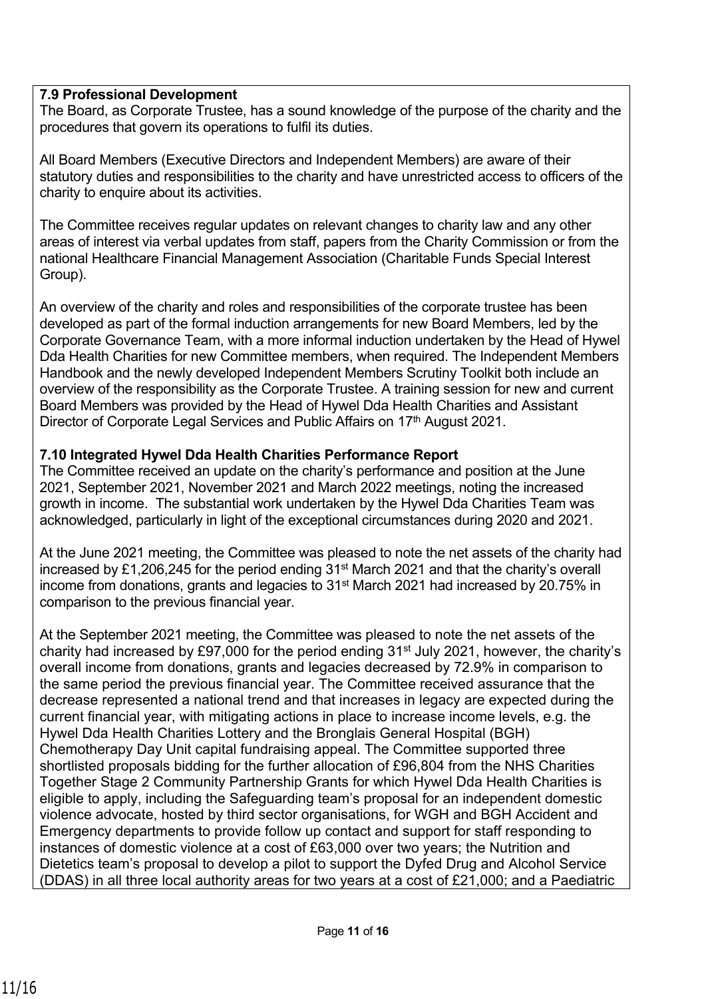## **7.9 Professional Development**

The Board, as Corporate Trustee, has a sound knowledge of the purpose of the charity and the procedures that govern its operations to fulfil its duties.

All Board Members (Executive Directors and Independent Members) are aware of their statutory duties and responsibilities to the charity and have unrestricted access to officers of the charity to enquire about its activities.

The Committee receives regular updates on relevant changes to charity law and any other areas of interest via verbal updates from staff, papers from the Charity Commission or from the national Healthcare Financial Management Association (Charitable Funds Special Interest Group).

An overview of the charity and roles and responsibilities of the corporate trustee has been developed as part of the formal induction arrangements for new Board Members, led by the Corporate Governance Team, with a more informal induction undertaken by the Head of Hywel Dda Health Charities for new Committee members, when required. The Independent Members Handbook and the newly developed Independent Members Scrutiny Toolkit both include an overview of the responsibility as the Corporate Trustee. A training session for new and current Board Members was provided by the Head of Hywel Dda Health Charities and Assistant Director of Corporate Legal Services and Public Affairs on 17<sup>th</sup> August 2021.

#### **7.10 Integrated Hywel Dda Health Charities Performance Report**

The Committee received an update on the charity's performance and position at the June 2021, September 2021, November 2021 and March 2022 meetings, noting the increased growth in income. The substantial work undertaken by the Hywel Dda Charities Team was acknowledged, particularly in light of the exceptional circumstances during 2020 and 2021.

At the June 2021 meeting, the Committee was pleased to note the net assets of the charity had increased by £1,206,245 for the period ending 31<sup>st</sup> March 2021 and that the charity's overall income from donations, grants and legacies to 31st March 2021 had increased by 20.75% in comparison to the previous financial year.

At the September 2021 meeting, the Committee was pleased to note the net assets of the charity had increased by £97,000 for the period ending 31<sup>st</sup> July 2021, however, the charity's overall income from donations, grants and legacies decreased by 72.9% in comparison to the same period the previous financial year. The Committee received assurance that the decrease represented a national trend and that increases in legacy are expected during the current financial year, with mitigating actions in place to increase income levels, e.g. the Hywel Dda Health Charities Lottery and the Bronglais General Hospital (BGH) Chemotherapy Day Unit capital fundraising appeal. The Committee supported three shortlisted proposals bidding for the further allocation of £96,804 from the NHS Charities Together Stage 2 Community Partnership Grants for which Hywel Dda Health Charities is eligible to apply, including the Safeguarding team's proposal for an independent domestic violence advocate, hosted by third sector organisations, for WGH and BGH Accident and Emergency departments to provide follow up contact and support for staff responding to instances of domestic violence at a cost of £63,000 over two years; the Nutrition and Dietetics team's proposal to develop a pilot to support the Dyfed Drug and Alcohol Service (DDAS) in all three local authority areas for two years at a cost of £21,000; and a Paediatric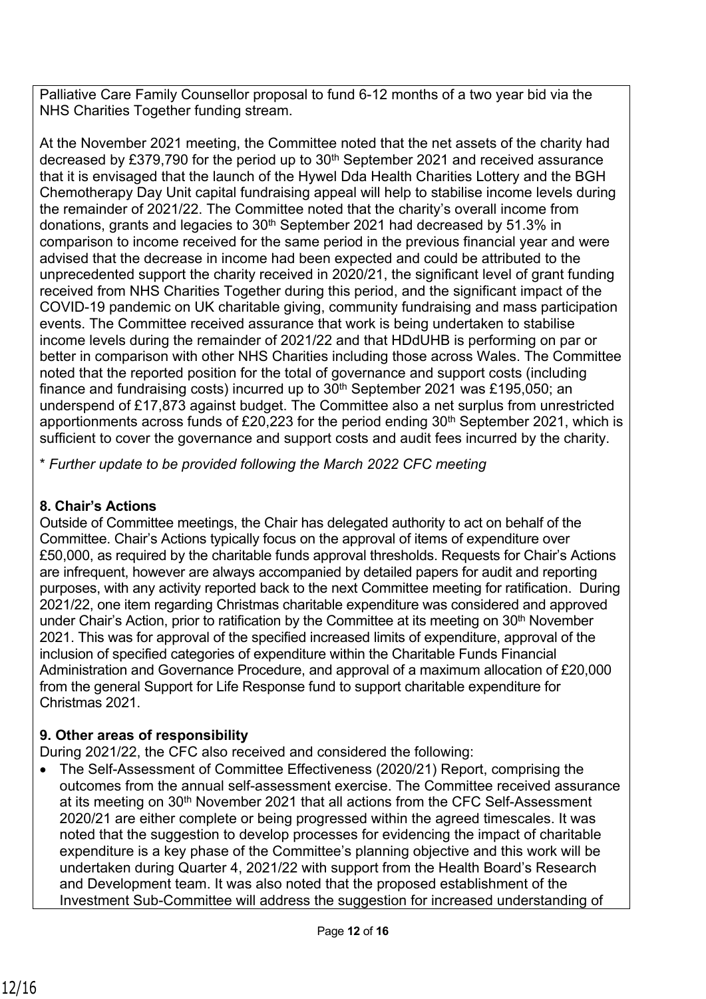Palliative Care Family Counsellor proposal to fund 6-12 months of a two year bid via the NHS Charities Together funding stream.

At the November 2021 meeting, the Committee noted that the net assets of the charity had decreased by £379,790 for the period up to 30<sup>th</sup> September 2021 and received assurance that it is envisaged that the launch of the Hywel Dda Health Charities Lottery and the BGH Chemotherapy Day Unit capital fundraising appeal will help to stabilise income levels during the remainder of 2021/22. The Committee noted that the charity's overall income from donations, grants and legacies to 30<sup>th</sup> September 2021 had decreased by 51.3% in comparison to income received for the same period in the previous financial year and were advised that the decrease in income had been expected and could be attributed to the unprecedented support the charity received in 2020/21, the significant level of grant funding received from NHS Charities Together during this period, and the significant impact of the COVID-19 pandemic on UK charitable giving, community fundraising and mass participation events. The Committee received assurance that work is being undertaken to stabilise income levels during the remainder of 2021/22 and that HDdUHB is performing on par or better in comparison with other NHS Charities including those across Wales. The Committee noted that the reported position for the total of governance and support costs (including finance and fundraising costs) incurred up to  $30<sup>th</sup>$  September 2021 was £195,050; an underspend of £17,873 against budget. The Committee also a net surplus from unrestricted apportionments across funds of £20,223 for the period ending  $30<sup>th</sup>$  September 2021, which is sufficient to cover the governance and support costs and audit fees incurred by the charity.

\* *Further update to be provided following the March 2022 CFC meeting*

# **8. Chair's Actions**

Outside of Committee meetings, the Chair has delegated authority to act on behalf of the Committee. Chair's Actions typically focus on the approval of items of expenditure over £50,000, as required by the charitable funds approval thresholds. Requests for Chair's Actions are infrequent, however are always accompanied by detailed papers for audit and reporting purposes, with any activity reported back to the next Committee meeting for ratification. During 2021/22, one item regarding Christmas charitable expenditure was considered and approved under Chair's Action, prior to ratification by the Committee at its meeting on 30<sup>th</sup> November 2021. This was for approval of the specified increased limits of expenditure, approval of the inclusion of specified categories of expenditure within the Charitable Funds Financial Administration and Governance Procedure, and approval of a maximum allocation of £20,000 from the general Support for Life Response fund to support charitable expenditure for Christmas 2021.

# **9. Other areas of responsibility**

During 2021/22, the CFC also received and considered the following:

• The Self-Assessment of Committee Effectiveness (2020/21) Report, comprising the outcomes from the annual self-assessment exercise. The Committee received assurance at its meeting on 30<sup>th</sup> November 2021 that all actions from the CFC Self-Assessment 2020/21 are either complete or being progressed within the agreed timescales. It was noted that the suggestion to develop processes for evidencing the impact of charitable expenditure is a key phase of the Committee's planning objective and this work will be undertaken during Quarter 4, 2021/22 with support from the Health Board's Research and Development team. It was also noted that the proposed establishment of the Investment Sub-Committee will address the suggestion for increased understanding of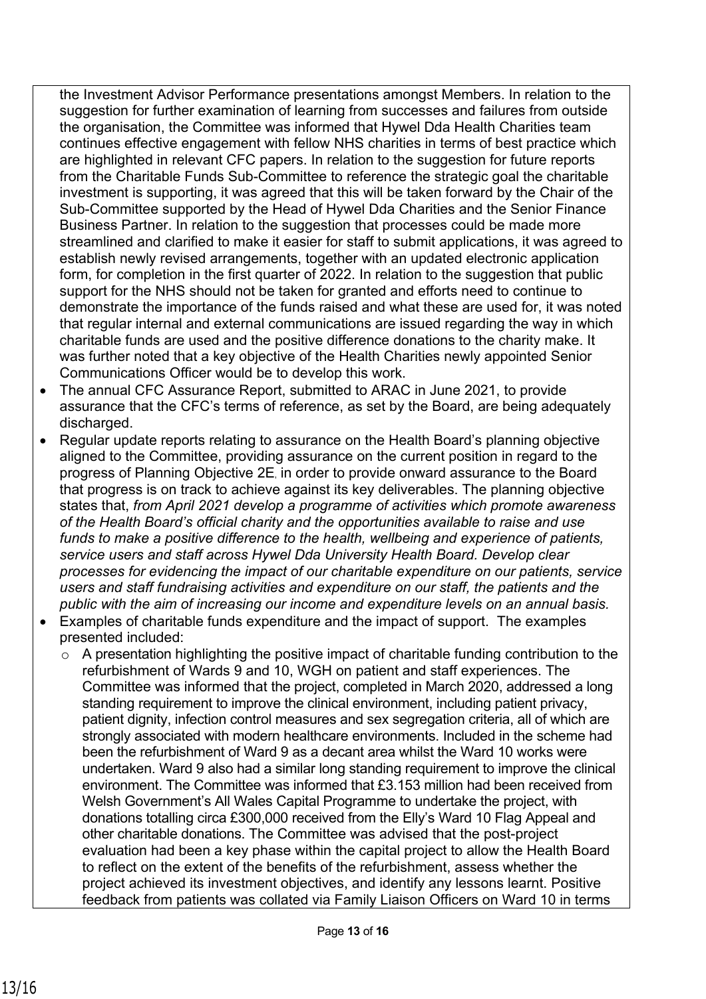the Investment Advisor Performance presentations amongst Members. In relation to the suggestion for further examination of learning from successes and failures from outside the organisation, the Committee was informed that Hywel Dda Health Charities team continues effective engagement with fellow NHS charities in terms of best practice which are highlighted in relevant CFC papers. In relation to the suggestion for future reports from the Charitable Funds Sub-Committee to reference the strategic goal the charitable investment is supporting, it was agreed that this will be taken forward by the Chair of the Sub-Committee supported by the Head of Hywel Dda Charities and the Senior Finance Business Partner. In relation to the suggestion that processes could be made more streamlined and clarified to make it easier for staff to submit applications, it was agreed to establish newly revised arrangements, together with an updated electronic application form, for completion in the first quarter of 2022. In relation to the suggestion that public support for the NHS should not be taken for granted and efforts need to continue to demonstrate the importance of the funds raised and what these are used for, it was noted that regular internal and external communications are issued regarding the way in which charitable funds are used and the positive difference donations to the charity make. It was further noted that a key objective of the Health Charities newly appointed Senior Communications Officer would be to develop this work.

- The annual CFC Assurance Report, submitted to ARAC in June 2021, to provide assurance that the CFC's terms of reference, as set by the Board, are being adequately discharged.
- Regular update reports relating to assurance on the Health Board's planning objective aligned to the Committee, providing assurance on the current position in regard to the progress of Planning Objective 2E, in order to provide onward assurance to the Board that progress is on track to achieve against its key deliverables. The planning objective states that, *from April 2021 develop a programme of activities which promote awareness of the Health Board's official charity and the opportunities available to raise and use funds to make a positive difference to the health, wellbeing and experience of patients, service users and staff across Hywel Dda University Health Board. Develop clear processes for evidencing the impact of our charitable expenditure on our patients, service users and staff fundraising activities and expenditure on our staff, the patients and the public with the aim of increasing our income and expenditure levels on an annual basis.*
- Examples of charitable funds expenditure and the impact of support. The examples presented included:
	- o A presentation highlighting the positive impact of charitable funding contribution to the refurbishment of Wards 9 and 10, WGH on patient and staff experiences. The Committee was informed that the project, completed in March 2020, addressed a long standing requirement to improve the clinical environment, including patient privacy, patient dignity, infection control measures and sex segregation criteria, all of which are strongly associated with modern healthcare environments. Included in the scheme had been the refurbishment of Ward 9 as a decant area whilst the Ward 10 works were undertaken. Ward 9 also had a similar long standing requirement to improve the clinical environment. The Committee was informed that £3.153 million had been received from Welsh Government's All Wales Capital Programme to undertake the project, with donations totalling circa £300,000 received from the Elly's Ward 10 Flag Appeal and other charitable donations. The Committee was advised that the post-project evaluation had been a key phase within the capital project to allow the Health Board to reflect on the extent of the benefits of the refurbishment, assess whether the project achieved its investment objectives, and identify any lessons learnt. Positive feedback from patients was collated via Family Liaison Officers on Ward 10 in terms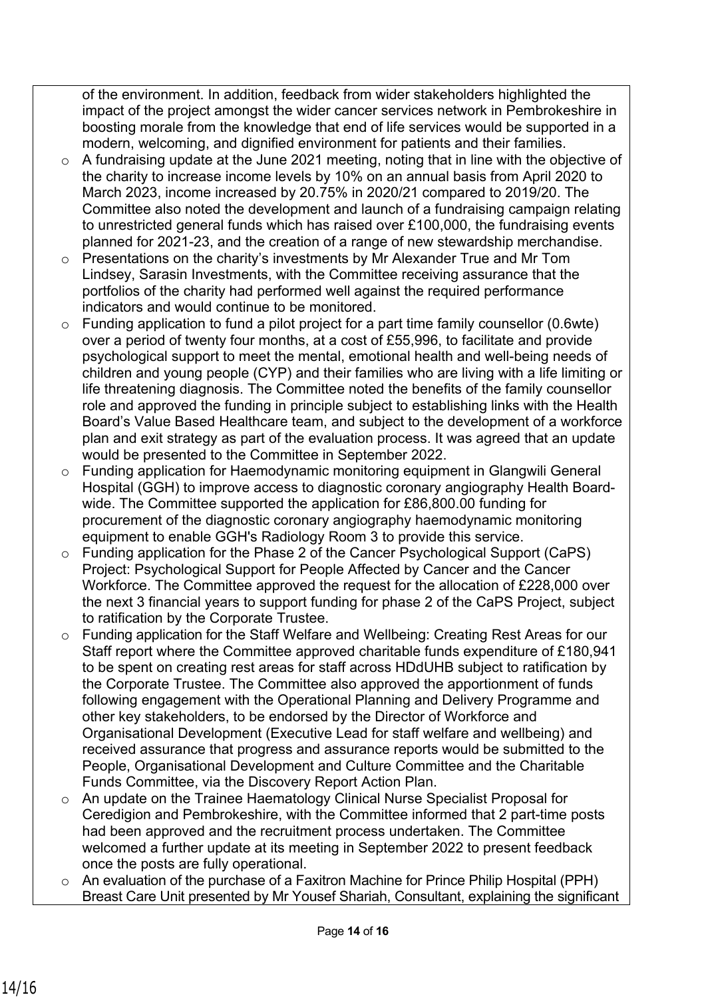of the environment. In addition, feedback from wider stakeholders highlighted the impact of the project amongst the wider cancer services network in Pembrokeshire in boosting morale from the knowledge that end of life services would be supported in a modern, welcoming, and dignified environment for patients and their families.

- o A fundraising update at the June 2021 meeting, noting that in line with the objective of the charity to increase income levels by 10% on an annual basis from April 2020 to March 2023, income increased by 20.75% in 2020/21 compared to 2019/20. The Committee also noted the development and launch of a fundraising campaign relating to unrestricted general funds which has raised over £100,000, the fundraising events planned for 2021-23, and the creation of a range of new stewardship merchandise.
- o Presentations on the charity's investments by Mr Alexander True and Mr Tom Lindsey, Sarasin Investments, with the Committee receiving assurance that the portfolios of the charity had performed well against the required performance indicators and would continue to be monitored.
- o Funding application to fund a pilot project for a part time family counsellor (0.6wte) over a period of twenty four months, at a cost of £55,996, to facilitate and provide psychological support to meet the mental, emotional health and well-being needs of children and young people (CYP) and their families who are living with a life limiting or life threatening diagnosis. The Committee noted the benefits of the family counsellor role and approved the funding in principle subject to establishing links with the Health Board's Value Based Healthcare team, and subject to the development of a workforce plan and exit strategy as part of the evaluation process. It was agreed that an update would be presented to the Committee in September 2022.
- o Funding application for Haemodynamic monitoring equipment in Glangwili General Hospital (GGH) to improve access to diagnostic coronary angiography Health Boardwide. The Committee supported the application for £86,800.00 funding for procurement of the diagnostic coronary angiography haemodynamic monitoring equipment to enable GGH's Radiology Room 3 to provide this service.
- o Funding application for the Phase 2 of the Cancer Psychological Support (CaPS) Project: Psychological Support for People Affected by Cancer and the Cancer Workforce. The Committee approved the request for the allocation of £228,000 over the next 3 financial years to support funding for phase 2 of the CaPS Project, subject to ratification by the Corporate Trustee.
- o Funding application for the Staff Welfare and Wellbeing: Creating Rest Areas for our Staff report where the Committee approved charitable funds expenditure of £180,941 to be spent on creating rest areas for staff across HDdUHB subject to ratification by the Corporate Trustee. The Committee also approved the apportionment of funds following engagement with the Operational Planning and Delivery Programme and other key stakeholders, to be endorsed by the Director of Workforce and Organisational Development (Executive Lead for staff welfare and wellbeing) and received assurance that progress and assurance reports would be submitted to the People, Organisational Development and Culture Committee and the Charitable Funds Committee, via the Discovery Report Action Plan.
- o An update on the Trainee Haematology Clinical Nurse Specialist Proposal for Ceredigion and Pembrokeshire, with the Committee informed that 2 part-time posts had been approved and the recruitment process undertaken. The Committee welcomed a further update at its meeting in September 2022 to present feedback once the posts are fully operational.
- o An evaluation of the purchase of a Faxitron Machine for Prince Philip Hospital (PPH) Breast Care Unit presented by Mr Yousef Shariah, Consultant, explaining the significant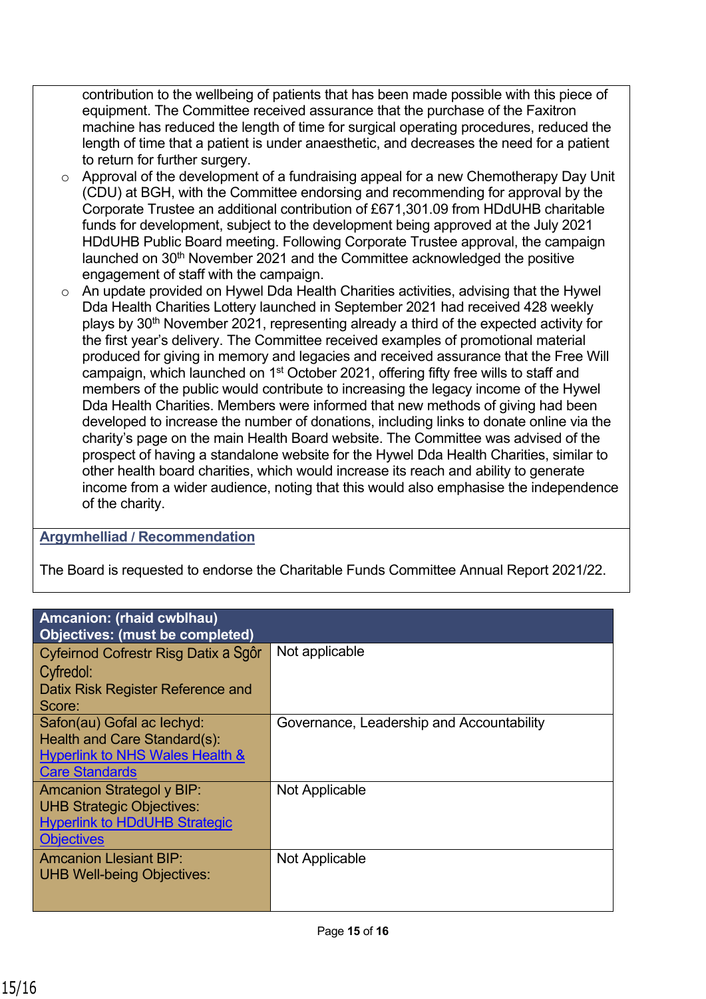contribution to the wellbeing of patients that has been made possible with this piece of equipment. The Committee received assurance that the purchase of the Faxitron machine has reduced the length of time for surgical operating procedures, reduced the length of time that a patient is under anaesthetic, and decreases the need for a patient to return for further surgery.

- o Approval of the development of a fundraising appeal for a new Chemotherapy Day Unit (CDU) at BGH, with the Committee endorsing and recommending for approval by the Corporate Trustee an additional contribution of £671,301.09 from HDdUHB charitable funds for development, subject to the development being approved at the July 2021 HDdUHB Public Board meeting. Following Corporate Trustee approval, the campaign launched on 30<sup>th</sup> November 2021 and the Committee acknowledged the positive engagement of staff with the campaign.
- o An update provided on Hywel Dda Health Charities activities, advising that the Hywel Dda Health Charities Lottery launched in September 2021 had received 428 weekly plays by 30<sup>th</sup> November 2021, representing already a third of the expected activity for the first year's delivery. The Committee received examples of promotional material produced for giving in memory and legacies and received assurance that the Free Will campaign, which launched on 1st October 2021, offering fifty free wills to staff and members of the public would contribute to increasing the legacy income of the Hywel Dda Health Charities. Members were informed that new methods of giving had been developed to increase the number of donations, including links to donate online via the charity's page on the main Health Board website. The Committee was advised of the prospect of having a standalone website for the Hywel Dda Health Charities, similar to other health board charities, which would increase its reach and ability to generate income from a wider audience, noting that this would also emphasise the independence of the charity.

# **Argymhelliad / Recommendation**

The Board is requested to endorse the Charitable Funds Committee Annual Report 2021/22.

| <b>Amcanion: (rhaid cwblhau)</b><br><b>Objectives: (must be completed)</b>                                                        |                                           |
|-----------------------------------------------------------------------------------------------------------------------------------|-------------------------------------------|
| Cyfeirnod Cofrestr Risg Datix a Sgôr<br>Cyfredol:<br>Datix Risk Register Reference and<br>Score:                                  | Not applicable                            |
| Safon(au) Gofal ac lechyd:<br>Health and Care Standard(s):<br>Hyperlink to NHS Wales Health &<br><b>Care Standards</b>            | Governance, Leadership and Accountability |
| <b>Amcanion Strategol y BIP:</b><br><b>UHB Strategic Objectives:</b><br><b>Hyperlink to HDdUHB Strategic</b><br><b>Objectives</b> | Not Applicable                            |
| <b>Amcanion Llesiant BIP:</b><br><b>UHB Well-being Objectives:</b>                                                                | Not Applicable                            |